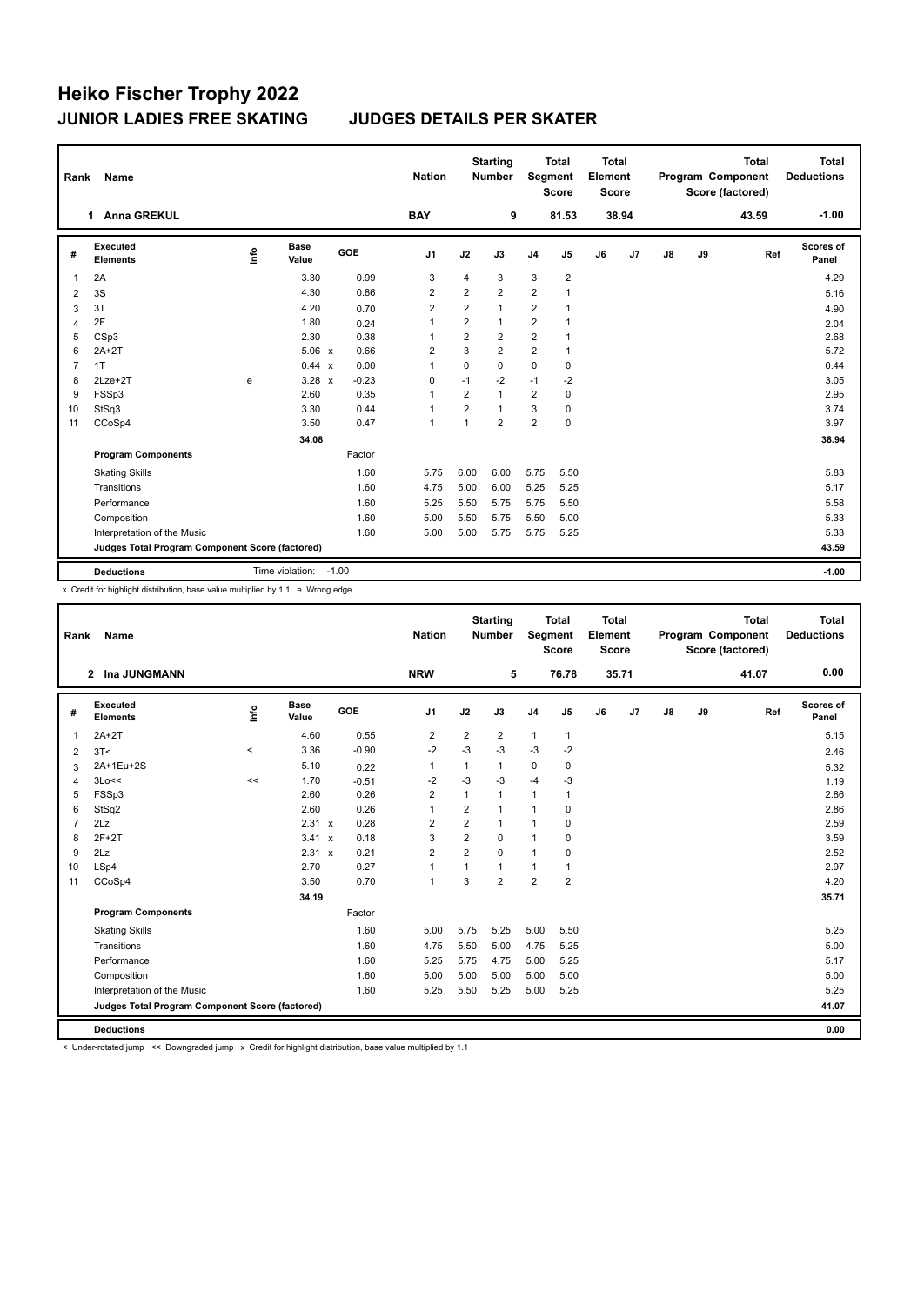| Rank           | Name                                            |      |                      |            | <b>Nation</b>  |                | <b>Starting</b><br><b>Number</b> | Segment        | <b>Total</b><br><b>Score</b> | <b>Total</b><br>Element<br><b>Score</b> |       |               |    | <b>Total</b><br>Program Component<br>Score (factored) | <b>Total</b><br><b>Deductions</b> |
|----------------|-------------------------------------------------|------|----------------------|------------|----------------|----------------|----------------------------------|----------------|------------------------------|-----------------------------------------|-------|---------------|----|-------------------------------------------------------|-----------------------------------|
|                | <b>Anna GREKUL</b><br>1                         |      |                      |            | <b>BAY</b>     |                | 9                                |                | 81.53                        |                                         | 38.94 |               |    | 43.59                                                 | $-1.00$                           |
| #              | <b>Executed</b><br><b>Elements</b>              | ١rfo | <b>Base</b><br>Value | <b>GOE</b> | J <sub>1</sub> | J2             | J3                               | J <sub>4</sub> | J <sub>5</sub>               | J6                                      | J7    | $\mathsf{J}8$ | J9 | Ref                                                   | Scores of<br>Panel                |
| 1              | 2A                                              |      | 3.30                 | 0.99       | 3              | $\overline{4}$ | 3                                | 3              | $\overline{2}$               |                                         |       |               |    |                                                       | 4.29                              |
| $\overline{2}$ | 3S                                              |      | 4.30                 | 0.86       | $\overline{2}$ | $\overline{2}$ | $\overline{2}$                   | $\overline{2}$ |                              |                                         |       |               |    |                                                       | 5.16                              |
| 3              | 3T                                              |      | 4.20                 | 0.70       | $\overline{2}$ | $\overline{2}$ | $\mathbf{1}$                     | 2              | $\overline{1}$               |                                         |       |               |    |                                                       | 4.90                              |
| $\overline{4}$ | 2F                                              |      | 1.80                 | 0.24       | $\mathbf{1}$   | $\overline{2}$ | $\mathbf{1}$                     | $\overline{2}$ | $\mathbf{1}$                 |                                         |       |               |    |                                                       | 2.04                              |
| 5              | CSp3                                            |      | 2.30                 | 0.38       | $\overline{1}$ | $\overline{2}$ | 2                                | $\overline{2}$ | $\mathbf{1}$                 |                                         |       |               |    |                                                       | 2.68                              |
| 6              | $2A+2T$                                         |      | 5.06 x               | 0.66       | 2              | 3              | $\overline{2}$                   | $\overline{2}$ | $\mathbf{1}$                 |                                         |       |               |    |                                                       | 5.72                              |
| 7              | 1T                                              |      | $0.44 \times$        | 0.00       | 1              | $\Omega$       | $\Omega$                         | $\Omega$       | $\mathbf 0$                  |                                         |       |               |    |                                                       | 0.44                              |
| 8              | $2Lze+2T$                                       | e    | $3.28 \times$        | $-0.23$    | 0              | $-1$           | -2                               | $-1$           | $-2$                         |                                         |       |               |    |                                                       | 3.05                              |
| 9              | FSSp3                                           |      | 2.60                 | 0.35       | $\mathbf 1$    | $\overline{2}$ | $\mathbf{1}$                     | $\overline{2}$ | $\pmb{0}$                    |                                         |       |               |    |                                                       | 2.95                              |
| 10             | StSq3                                           |      | 3.30                 | 0.44       | 1              | $\overline{2}$ | $\mathbf{1}$                     | 3              | $\mathbf 0$                  |                                         |       |               |    |                                                       | 3.74                              |
| 11             | CCoSp4                                          |      | 3.50                 | 0.47       | $\overline{1}$ | $\overline{1}$ | $\overline{2}$                   | $\overline{2}$ | $\pmb{0}$                    |                                         |       |               |    |                                                       | 3.97                              |
|                |                                                 |      | 34.08                |            |                |                |                                  |                |                              |                                         |       |               |    |                                                       | 38.94                             |
|                | <b>Program Components</b>                       |      |                      | Factor     |                |                |                                  |                |                              |                                         |       |               |    |                                                       |                                   |
|                | <b>Skating Skills</b>                           |      |                      | 1.60       | 5.75           | 6.00           | 6.00                             | 5.75           | 5.50                         |                                         |       |               |    |                                                       | 5.83                              |
|                | Transitions                                     |      |                      | 1.60       | 4.75           | 5.00           | 6.00                             | 5.25           | 5.25                         |                                         |       |               |    |                                                       | 5.17                              |
|                | Performance                                     |      |                      | 1.60       | 5.25           | 5.50           | 5.75                             | 5.75           | 5.50                         |                                         |       |               |    |                                                       | 5.58                              |
|                | Composition                                     |      |                      | 1.60       | 5.00           | 5.50           | 5.75                             | 5.50           | 5.00                         |                                         |       |               |    |                                                       | 5.33                              |
|                | Interpretation of the Music                     |      |                      | 1.60       | 5.00           | 5.00           | 5.75                             | 5.75           | 5.25                         |                                         |       |               |    |                                                       | 5.33                              |
|                | Judges Total Program Component Score (factored) |      |                      |            |                |                |                                  |                |                              |                                         |       |               |    |                                                       | 43.59                             |
|                | <b>Deductions</b>                               |      | Time violation:      | $-1.00$    |                |                |                                  |                |                              |                                         |       |               |    |                                                       | $-1.00$                           |

x Credit for highlight distribution, base value multiplied by 1.1 e Wrong edge

| Rank           | <b>Name</b>                                     |             |                      |            | <b>Nation</b>  |                | <b>Starting</b><br><b>Number</b> | Segment        | <b>Total</b><br><b>Score</b> | <b>Total</b><br>Element<br><b>Score</b> |       |               |    | <b>Total</b><br>Program Component<br>Score (factored) | <b>Total</b><br><b>Deductions</b> |
|----------------|-------------------------------------------------|-------------|----------------------|------------|----------------|----------------|----------------------------------|----------------|------------------------------|-----------------------------------------|-------|---------------|----|-------------------------------------------------------|-----------------------------------|
|                | 2 Ina JUNGMANN                                  |             |                      |            | <b>NRW</b>     |                | 5                                |                | 76.78                        |                                         | 35.71 |               |    | 41.07                                                 | 0.00                              |
| #              | <b>Executed</b><br><b>Elements</b>              | <u>info</u> | <b>Base</b><br>Value | <b>GOE</b> | J <sub>1</sub> | J2             | J3                               | J <sub>4</sub> | J5                           | J6                                      | J7    | $\mathsf{J}8$ | J9 | Ref                                                   | <b>Scores of</b><br>Panel         |
| $\overline{1}$ | $2A+2T$                                         |             | 4.60                 | 0.55       | $\overline{2}$ | 2              | 2                                | $\mathbf{1}$   | $\mathbf{1}$                 |                                         |       |               |    |                                                       | 5.15                              |
| 2              | 3T<                                             | $\,<\,$     | 3.36                 | $-0.90$    | $-2$           | $-3$           | $-3$                             | $-3$           | $-2$                         |                                         |       |               |    |                                                       | 2.46                              |
| 3              | 2A+1Eu+2S                                       |             | 5.10                 | 0.22       | 1              | $\mathbf{1}$   | $\mathbf{1}$                     | $\mathbf 0$    | 0                            |                                         |       |               |    |                                                       | 5.32                              |
| $\overline{4}$ | 3Lo<<                                           | <<          | 1.70                 | $-0.51$    | $-2$           | $-3$           | $-3$                             | $-4$           | $-3$                         |                                         |       |               |    |                                                       | 1.19                              |
| 5              | FSSp3                                           |             | 2.60                 | 0.26       | $\overline{2}$ | $\overline{1}$ | 1                                | $\mathbf{1}$   | 1                            |                                         |       |               |    |                                                       | 2.86                              |
| 6              | StSq2                                           |             | 2.60                 | 0.26       | 1              | 2              | 1                                | $\overline{1}$ | 0                            |                                         |       |               |    |                                                       | 2.86                              |
| $\overline{7}$ | 2Lz                                             |             | 2.31 x               | 0.28       | $\overline{2}$ | $\overline{2}$ | 1                                | $\overline{1}$ | 0                            |                                         |       |               |    |                                                       | 2.59                              |
| 8              | $2F+2T$                                         |             | 3.41 x               | 0.18       | 3              | $\overline{2}$ | 0                                | $\overline{1}$ | 0                            |                                         |       |               |    |                                                       | 3.59                              |
| 9              | 2Lz                                             |             | 2.31 x               | 0.21       | $\overline{2}$ | $\overline{2}$ | 0                                | $\mathbf{1}$   | 0                            |                                         |       |               |    |                                                       | 2.52                              |
| 10             | LSp4                                            |             | 2.70                 | 0.27       | $\mathbf{1}$   | $\mathbf{1}$   | 1                                | $\mathbf{1}$   | 1                            |                                         |       |               |    |                                                       | 2.97                              |
| 11             | CCoSp4                                          |             | 3.50                 | 0.70       | $\mathbf{1}$   | 3              | $\overline{2}$                   | $\overline{2}$ | $\overline{2}$               |                                         |       |               |    |                                                       | 4.20                              |
|                |                                                 |             | 34.19                |            |                |                |                                  |                |                              |                                         |       |               |    |                                                       | 35.71                             |
|                | <b>Program Components</b>                       |             |                      | Factor     |                |                |                                  |                |                              |                                         |       |               |    |                                                       |                                   |
|                | <b>Skating Skills</b>                           |             |                      | 1.60       | 5.00           | 5.75           | 5.25                             | 5.00           | 5.50                         |                                         |       |               |    |                                                       | 5.25                              |
|                | Transitions                                     |             |                      | 1.60       | 4.75           | 5.50           | 5.00                             | 4.75           | 5.25                         |                                         |       |               |    |                                                       | 5.00                              |
|                | Performance                                     |             |                      | 1.60       | 5.25           | 5.75           | 4.75                             | 5.00           | 5.25                         |                                         |       |               |    |                                                       | 5.17                              |
|                | Composition                                     |             |                      | 1.60       | 5.00           | 5.00           | 5.00                             | 5.00           | 5.00                         |                                         |       |               |    |                                                       | 5.00                              |
|                | Interpretation of the Music                     |             |                      | 1.60       | 5.25           | 5.50           | 5.25                             | 5.00           | 5.25                         |                                         |       |               |    |                                                       | 5.25                              |
|                | Judges Total Program Component Score (factored) |             |                      |            |                |                |                                  |                |                              |                                         |       |               |    |                                                       | 41.07                             |
|                | <b>Deductions</b>                               |             |                      |            |                |                |                                  |                |                              |                                         |       |               |    |                                                       | 0.00                              |

< Under-rotated jump << Downgraded jump x Credit for highlight distribution, base value multiplied by 1.1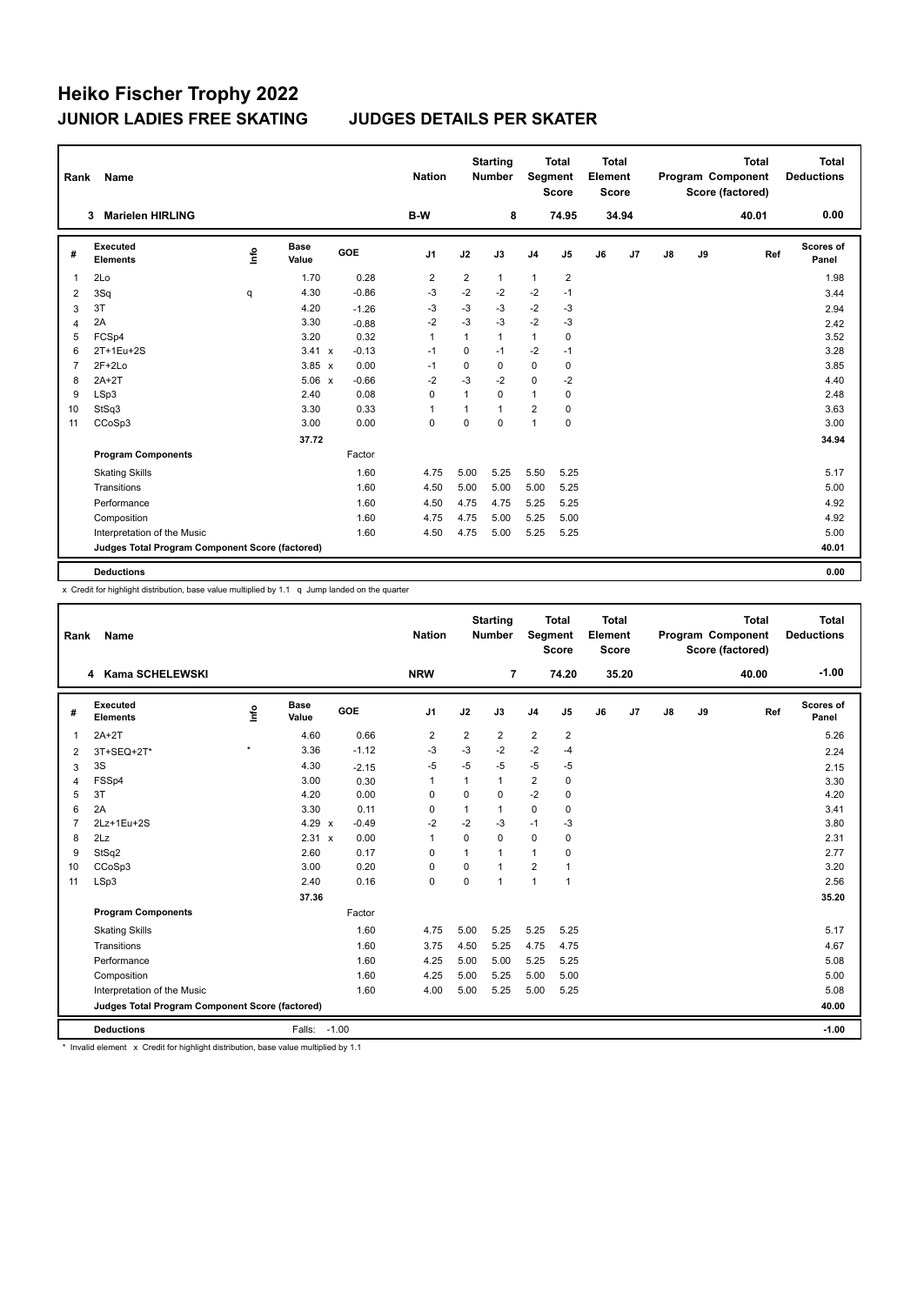| Rank           | Name                                            |      |                      |  |         | <b>Nation</b>  |                | <b>Starting</b><br><b>Number</b> |                | <b>Total</b><br>Segment<br><b>Score</b> |    | <b>Total</b><br>Element<br><b>Score</b> |    |    | <b>Total</b><br>Program Component<br>Score (factored) | Total<br><b>Deductions</b> |
|----------------|-------------------------------------------------|------|----------------------|--|---------|----------------|----------------|----------------------------------|----------------|-----------------------------------------|----|-----------------------------------------|----|----|-------------------------------------------------------|----------------------------|
|                | <b>Marielen HIRLING</b><br>3                    |      |                      |  |         | B-W            |                | 8                                |                | 74.95                                   |    | 34.94                                   |    |    | 40.01                                                 | 0.00                       |
| #              | Executed<br><b>Elements</b>                     | ١ifo | <b>Base</b><br>Value |  | GOE     | J <sub>1</sub> | J2             | J3                               | J <sub>4</sub> | J5                                      | J6 | J <sub>7</sub>                          | J8 | J9 | Ref                                                   | Scores of<br>Panel         |
| 1              | 2Lo                                             |      | 1.70                 |  | 0.28    | $\overline{2}$ | $\overline{2}$ | $\mathbf{1}$                     | $\mathbf{1}$   | $\overline{2}$                          |    |                                         |    |    |                                                       | 1.98                       |
| 2              | 3Sq                                             | q    | 4.30                 |  | $-0.86$ | -3             | $-2$           | $-2$                             | $-2$           | $-1$                                    |    |                                         |    |    |                                                       | 3.44                       |
| 3              | 3T                                              |      | 4.20                 |  | $-1.26$ | $-3$           | $-3$           | $-3$                             | $-2$           | $-3$                                    |    |                                         |    |    |                                                       | 2.94                       |
| $\overline{4}$ | 2A                                              |      | 3.30                 |  | $-0.88$ | $-2$           | $-3$           | $-3$                             | $-2$           | $-3$                                    |    |                                         |    |    |                                                       | 2.42                       |
| 5              | FCSp4                                           |      | 3.20                 |  | 0.32    | $\mathbf{1}$   | 1              | $\mathbf{1}$                     | $\mathbf{1}$   | $\mathbf 0$                             |    |                                         |    |    |                                                       | 3.52                       |
| 6              | 2T+1Eu+2S                                       |      | 3.41 x               |  | $-0.13$ | $-1$           | $\Omega$       | $-1$                             | $-2$           | $-1$                                    |    |                                         |    |    |                                                       | 3.28                       |
| $\overline{7}$ | $2F+2Lo$                                        |      | $3.85 \times$        |  | 0.00    | $-1$           | $\mathbf 0$    | 0                                | $\mathbf 0$    | 0                                       |    |                                         |    |    |                                                       | 3.85                       |
| 8              | $2A+2T$                                         |      | $5.06 \times$        |  | $-0.66$ | $-2$           | $-3$           | $-2$                             | $\mathbf 0$    | $-2$                                    |    |                                         |    |    |                                                       | 4.40                       |
| 9              | LSp3                                            |      | 2.40                 |  | 0.08    | $\Omega$       | 1              | $\Omega$                         | $\mathbf{1}$   | 0                                       |    |                                         |    |    |                                                       | 2.48                       |
| 10             | StSq3                                           |      | 3.30                 |  | 0.33    | 1              | 1              | $\mathbf{1}$                     | $\overline{2}$ | 0                                       |    |                                         |    |    |                                                       | 3.63                       |
| 11             | CCoSp3                                          |      | 3.00                 |  | 0.00    | $\mathbf 0$    | 0              | $\mathbf 0$                      | 1              | $\mathbf 0$                             |    |                                         |    |    |                                                       | 3.00                       |
|                |                                                 |      | 37.72                |  |         |                |                |                                  |                |                                         |    |                                         |    |    |                                                       | 34.94                      |
|                | <b>Program Components</b>                       |      |                      |  | Factor  |                |                |                                  |                |                                         |    |                                         |    |    |                                                       |                            |
|                | <b>Skating Skills</b>                           |      |                      |  | 1.60    | 4.75           | 5.00           | 5.25                             | 5.50           | 5.25                                    |    |                                         |    |    |                                                       | 5.17                       |
|                | Transitions                                     |      |                      |  | 1.60    | 4.50           | 5.00           | 5.00                             | 5.00           | 5.25                                    |    |                                         |    |    |                                                       | 5.00                       |
|                | Performance                                     |      |                      |  | 1.60    | 4.50           | 4.75           | 4.75                             | 5.25           | 5.25                                    |    |                                         |    |    |                                                       | 4.92                       |
|                | Composition                                     |      |                      |  | 1.60    | 4.75           | 4.75           | 5.00                             | 5.25           | 5.00                                    |    |                                         |    |    |                                                       | 4.92                       |
|                | Interpretation of the Music                     |      |                      |  | 1.60    | 4.50           | 4.75           | 5.00                             | 5.25           | 5.25                                    |    |                                         |    |    |                                                       | 5.00                       |
|                | Judges Total Program Component Score (factored) |      |                      |  |         |                |                |                                  |                |                                         |    |                                         |    |    |                                                       | 40.01                      |
|                | <b>Deductions</b>                               |      |                      |  |         |                |                |                                  |                |                                         |    |                                         |    |    |                                                       | 0.00                       |

x Credit for highlight distribution, base value multiplied by 1.1 q Jump landed on the quarter

| Rank           | Name                                            |         |                      |                                      | <b>Nation</b>  | <b>Starting</b><br><b>Total</b><br>Segment<br><b>Number</b><br><b>Score</b> |                |                | <b>Total</b><br>Element<br><b>Score</b> |    |       |    | <b>Total</b><br>Program Component<br>Score (factored) | Total<br><b>Deductions</b> |                           |
|----------------|-------------------------------------------------|---------|----------------------|--------------------------------------|----------------|-----------------------------------------------------------------------------|----------------|----------------|-----------------------------------------|----|-------|----|-------------------------------------------------------|----------------------------|---------------------------|
|                | 4 Kama SCHELEWSKI                               |         |                      |                                      | <b>NRW</b>     |                                                                             | $\overline{7}$ |                | 74.20                                   |    | 35.20 |    |                                                       | 40.00                      | $-1.00$                   |
| #              | Executed<br><b>Elements</b>                     | Info    | <b>Base</b><br>Value | <b>GOE</b>                           | J <sub>1</sub> | J2                                                                          | J3             | J <sub>4</sub> | J5                                      | J6 | J7    | J8 | J9                                                    | Ref                        | <b>Scores of</b><br>Panel |
| $\mathbf{1}$   | $2A+2T$                                         |         | 4.60                 | 0.66                                 | 2              | $\overline{\mathbf{c}}$                                                     | 2              | $\overline{2}$ | $\overline{\mathbf{c}}$                 |    |       |    |                                                       |                            | 5.26                      |
| 2              | 3T+SEQ+2T*                                      | $\star$ | 3.36                 | $-1.12$                              | -3             | $-3$                                                                        | $-2$           | $-2$           | $-4$                                    |    |       |    |                                                       |                            | 2.24                      |
| 3              | 3S                                              |         | 4.30                 | $-2.15$                              | $-5$           | $-5$                                                                        | $-5$           | $-5$           | $-5$                                    |    |       |    |                                                       |                            | 2.15                      |
| 4              | FSSp4                                           |         | 3.00                 | 0.30                                 | $\mathbf{1}$   | 1                                                                           | 1              | $\overline{2}$ | 0                                       |    |       |    |                                                       |                            | 3.30                      |
| 5              | 3T                                              |         | 4.20                 | 0.00                                 | 0              | $\mathbf 0$                                                                 | 0              | $-2$           | $\mathbf 0$                             |    |       |    |                                                       |                            | 4.20                      |
| 6              | 2A                                              |         | 3.30                 | 0.11                                 | 0              | 1                                                                           | 1              | $\mathbf 0$    | 0                                       |    |       |    |                                                       |                            | 3.41                      |
| $\overline{7}$ | 2Lz+1Eu+2S                                      |         | 4.29                 | $-0.49$<br>$\boldsymbol{\mathsf{x}}$ | $-2$           | $-2$                                                                        | $-3$           | $-1$           | $-3$                                    |    |       |    |                                                       |                            | 3.80                      |
| 8              | 2Lz                                             |         | 2.31 x               | 0.00                                 | $\mathbf{1}$   | $\Omega$                                                                    | $\Omega$       | $\mathbf 0$    | 0                                       |    |       |    |                                                       |                            | 2.31                      |
| 9              | StSq2                                           |         | 2.60                 | 0.17                                 | 0              | 1                                                                           | 1              | $\mathbf{1}$   | 0                                       |    |       |    |                                                       |                            | 2.77                      |
| 10             | CCoSp3                                          |         | 3.00                 | 0.20                                 | 0              | $\Omega$                                                                    | $\overline{1}$ | $\overline{2}$ | 1                                       |    |       |    |                                                       |                            | 3.20                      |
| 11             | LSp3                                            |         | 2.40                 | 0.16                                 | $\mathbf 0$    | $\mathbf 0$                                                                 | 1              | $\overline{1}$ | $\mathbf{1}$                            |    |       |    |                                                       |                            | 2.56                      |
|                |                                                 |         | 37.36                |                                      |                |                                                                             |                |                |                                         |    |       |    |                                                       |                            | 35.20                     |
|                | <b>Program Components</b>                       |         |                      | Factor                               |                |                                                                             |                |                |                                         |    |       |    |                                                       |                            |                           |
|                | <b>Skating Skills</b>                           |         |                      | 1.60                                 | 4.75           | 5.00                                                                        | 5.25           | 5.25           | 5.25                                    |    |       |    |                                                       |                            | 5.17                      |
|                | Transitions                                     |         |                      | 1.60                                 | 3.75           | 4.50                                                                        | 5.25           | 4.75           | 4.75                                    |    |       |    |                                                       |                            | 4.67                      |
|                | Performance                                     |         |                      | 1.60                                 | 4.25           | 5.00                                                                        | 5.00           | 5.25           | 5.25                                    |    |       |    |                                                       |                            | 5.08                      |
|                | Composition                                     |         |                      | 1.60                                 | 4.25           | 5.00                                                                        | 5.25           | 5.00           | 5.00                                    |    |       |    |                                                       |                            | 5.00                      |
|                | Interpretation of the Music                     |         |                      | 1.60                                 | 4.00           | 5.00                                                                        | 5.25           | 5.00           | 5.25                                    |    |       |    |                                                       |                            | 5.08                      |
|                | Judges Total Program Component Score (factored) |         |                      |                                      |                |                                                                             |                |                |                                         |    |       |    |                                                       |                            | 40.00                     |
|                | <b>Deductions</b>                               |         | Falls: -1.00         |                                      |                |                                                                             |                |                |                                         |    |       |    |                                                       |                            | $-1.00$                   |

\* Invalid element x Credit for highlight distribution, base value multiplied by 1.1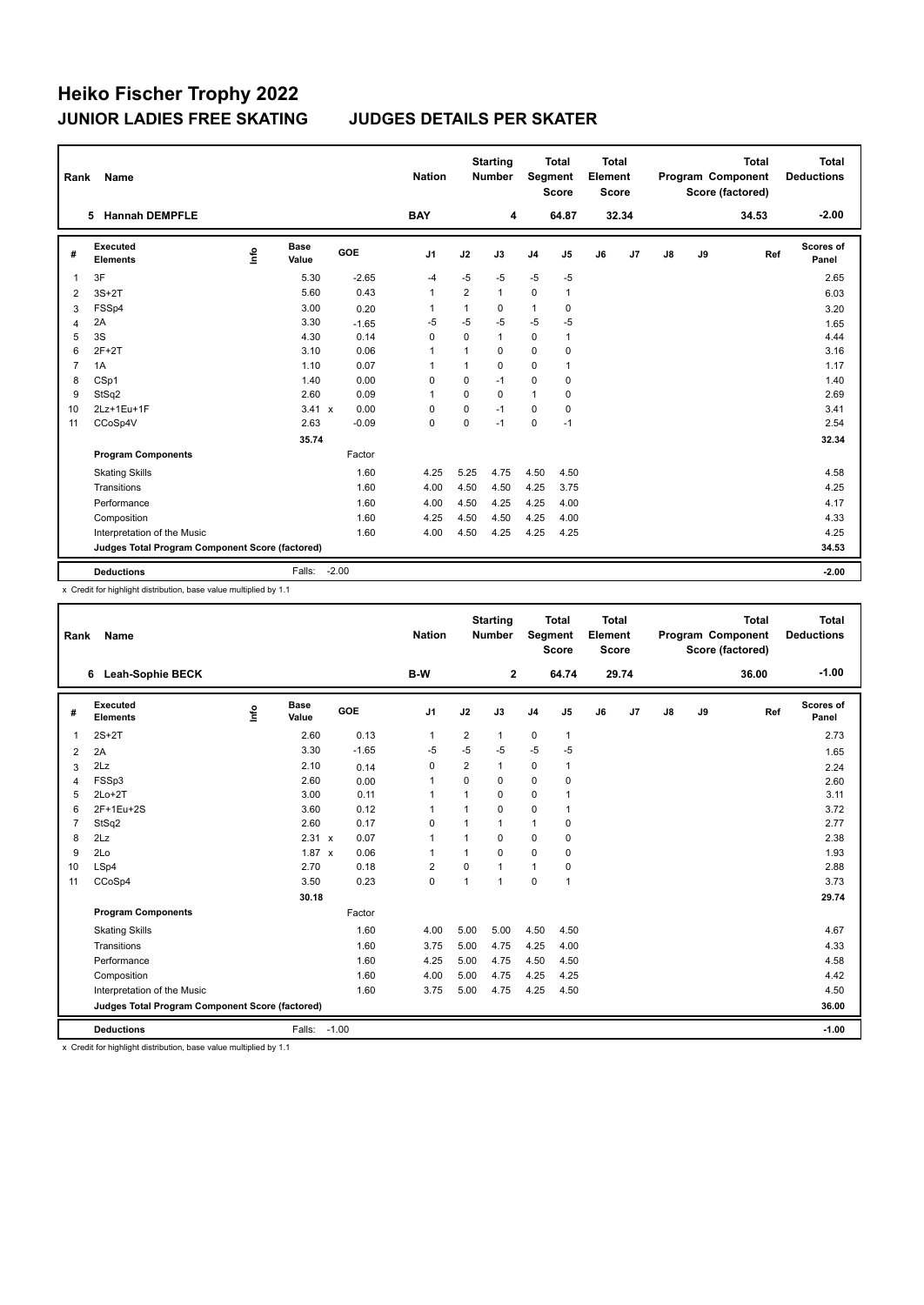| Rank           | Name                                            |      |                      |         | <b>Nation</b>  |             | <b>Starting</b><br><b>Number</b> | Segment        | <b>Total</b><br><b>Score</b> | <b>Total</b><br>Element<br><b>Score</b> |                | <b>Total</b><br>Program Component<br>Score (factored) |    | <b>Total</b><br><b>Deductions</b> |                           |
|----------------|-------------------------------------------------|------|----------------------|---------|----------------|-------------|----------------------------------|----------------|------------------------------|-----------------------------------------|----------------|-------------------------------------------------------|----|-----------------------------------|---------------------------|
|                | <b>Hannah DEMPFLE</b><br>5.                     |      |                      |         | <b>BAY</b>     |             | 4                                |                | 64.87                        |                                         | 32.34          |                                                       |    | 34.53                             | $-2.00$                   |
| #              | Executed<br><b>Elements</b>                     | ١ifo | <b>Base</b><br>Value | GOE     | J <sub>1</sub> | J2          | J3                               | J <sub>4</sub> | J5                           | J6                                      | J <sub>7</sub> | J8                                                    | J9 | Ref                               | <b>Scores of</b><br>Panel |
| 1              | 3F                                              |      | 5.30                 | $-2.65$ | $-4$           | $-5$        | $-5$                             | $-5$           | -5                           |                                         |                |                                                       |    |                                   | 2.65                      |
| 2              | $3S+2T$                                         |      | 5.60                 | 0.43    | $\overline{1}$ | 2           | $\mathbf{1}$                     | 0              | $\mathbf{1}$                 |                                         |                |                                                       |    |                                   | 6.03                      |
| 3              | FSSp4                                           |      | 3.00                 | 0.20    | 1              | 1           | 0                                | $\mathbf{1}$   | 0                            |                                         |                |                                                       |    |                                   | 3.20                      |
| 4              | 2A                                              |      | 3.30                 | $-1.65$ | $-5$           | $-5$        | $-5$                             | $-5$           | $-5$                         |                                         |                |                                                       |    |                                   | 1.65                      |
| 5              | 3S                                              |      | 4.30                 | 0.14    | $\mathbf 0$    | $\Omega$    | $\mathbf{1}$                     | $\mathbf 0$    | $\mathbf{1}$                 |                                         |                |                                                       |    |                                   | 4.44                      |
| 6              | $2F+2T$                                         |      | 3.10                 | 0.06    | $\overline{1}$ | 1           | $\Omega$                         | 0              | 0                            |                                         |                |                                                       |    |                                   | 3.16                      |
| $\overline{7}$ | 1A                                              |      | 1.10                 | 0.07    | $\overline{1}$ | 1           | $\Omega$                         | $\mathbf 0$    | $\mathbf{1}$                 |                                         |                |                                                       |    |                                   | 1.17                      |
| 8              | CSp1                                            |      | 1.40                 | 0.00    | 0              | $\Omega$    | $-1$                             | $\mathbf 0$    | 0                            |                                         |                |                                                       |    |                                   | 1.40                      |
| 9              | StSq2                                           |      | 2.60                 | 0.09    | $\overline{1}$ | $\mathbf 0$ | 0                                | $\mathbf{1}$   | 0                            |                                         |                |                                                       |    |                                   | 2.69                      |
| 10             | 2Lz+1Eu+1F                                      |      | 3.41 x               | 0.00    | 0              | $\mathbf 0$ | $-1$                             | $\Omega$       | 0                            |                                         |                |                                                       |    |                                   | 3.41                      |
| 11             | CCoSp4V                                         |      | 2.63                 | $-0.09$ | $\mathbf 0$    | 0           | $-1$                             | $\mathbf 0$    | $-1$                         |                                         |                |                                                       |    |                                   | 2.54                      |
|                |                                                 |      | 35.74                |         |                |             |                                  |                |                              |                                         |                |                                                       |    |                                   | 32.34                     |
|                | <b>Program Components</b>                       |      |                      | Factor  |                |             |                                  |                |                              |                                         |                |                                                       |    |                                   |                           |
|                | <b>Skating Skills</b>                           |      |                      | 1.60    | 4.25           | 5.25        | 4.75                             | 4.50           | 4.50                         |                                         |                |                                                       |    |                                   | 4.58                      |
|                | Transitions                                     |      |                      | 1.60    | 4.00           | 4.50        | 4.50                             | 4.25           | 3.75                         |                                         |                |                                                       |    |                                   | 4.25                      |
|                | Performance                                     |      |                      | 1.60    | 4.00           | 4.50        | 4.25                             | 4.25           | 4.00                         |                                         |                |                                                       |    |                                   | 4.17                      |
|                | Composition                                     |      |                      | 1.60    | 4.25           | 4.50        | 4.50                             | 4.25           | 4.00                         |                                         |                |                                                       |    |                                   | 4.33                      |
|                | Interpretation of the Music                     |      |                      | 1.60    | 4.00           | 4.50        | 4.25                             | 4.25           | 4.25                         |                                         |                |                                                       |    |                                   | 4.25                      |
|                | Judges Total Program Component Score (factored) |      |                      |         |                |             |                                  |                |                              |                                         |                |                                                       |    |                                   | 34.53                     |
|                | <b>Deductions</b>                               |      | Falls:               | $-2.00$ |                |             |                                  |                |                              |                                         |                |                                                       |    |                                   | $-2.00$                   |

x Credit for highlight distribution, base value multiplied by 1.1

| Rank           | Name                                            |             |                      |         | <b>Nation</b>  |                | <b>Starting</b><br><b>Number</b> | <b>Total</b><br><b>Total</b><br>Element<br>Segment<br><b>Score</b><br><b>Score</b><br>64.74<br>29.74 |                |    |    |               | <b>Total</b><br>Program Component<br>Score (factored) | <b>Total</b><br><b>Deductions</b> |                    |
|----------------|-------------------------------------------------|-------------|----------------------|---------|----------------|----------------|----------------------------------|------------------------------------------------------------------------------------------------------|----------------|----|----|---------------|-------------------------------------------------------|-----------------------------------|--------------------|
|                | 6 Leah-Sophie BECK                              |             |                      |         | B-W            |                | $\overline{2}$                   |                                                                                                      |                |    |    |               |                                                       | 36.00                             | $-1.00$            |
| #              | Executed<br><b>Elements</b>                     | <u>info</u> | <b>Base</b><br>Value | GOE     | J <sub>1</sub> | J2             | J3                               | J <sub>4</sub>                                                                                       | J <sub>5</sub> | J6 | J7 | $\mathsf{J}8$ | J9                                                    | Ref                               | Scores of<br>Panel |
| 1              | $2S+2T$                                         |             | 2.60                 | 0.13    | $\mathbf{1}$   | 2              | 1                                | $\pmb{0}$                                                                                            | $\mathbf{1}$   |    |    |               |                                                       |                                   | 2.73               |
| 2              | 2A                                              |             | 3.30                 | $-1.65$ | -5             | $-5$           | $-5$                             | $-5$                                                                                                 | $-5$           |    |    |               |                                                       |                                   | 1.65               |
| 3              | 2Lz                                             |             | 2.10                 | 0.14    | 0              | $\overline{2}$ | 1                                | 0                                                                                                    | $\mathbf{1}$   |    |    |               |                                                       |                                   | 2.24               |
| 4              | FSSp3                                           |             | 2.60                 | 0.00    | $\mathbf{1}$   | $\Omega$       | 0                                | 0                                                                                                    | 0              |    |    |               |                                                       |                                   | 2.60               |
| 5              | $2Lo+2T$                                        |             | 3.00                 | 0.11    | $\mathbf{1}$   | 1              | 0                                | $\mathbf 0$                                                                                          | 1              |    |    |               |                                                       |                                   | 3.11               |
| 6              | 2F+1Eu+2S                                       |             | 3.60                 | 0.12    | $\mathbf{1}$   | 1              | 0                                | $\mathbf 0$                                                                                          | 1              |    |    |               |                                                       |                                   | 3.72               |
| $\overline{7}$ | StSq2                                           |             | 2.60                 | 0.17    | $\Omega$       | 1              | 1                                | $\mathbf{1}$                                                                                         | $\Omega$       |    |    |               |                                                       |                                   | 2.77               |
| 8              | 2Lz                                             |             | 2.31 x               | 0.07    | $\mathbf{1}$   | 1              | 0                                | $\mathbf 0$                                                                                          | $\mathbf 0$    |    |    |               |                                                       |                                   | 2.38               |
| 9              | 2Lo                                             |             | $1.87 \times$        | 0.06    | $\mathbf{1}$   | 1              | $\Omega$                         | $\Omega$                                                                                             | $\mathbf 0$    |    |    |               |                                                       |                                   | 1.93               |
| 10             | LSp4                                            |             | 2.70                 | 0.18    | $\overline{2}$ | $\mathbf 0$    | $\mathbf{1}$                     | $\mathbf{1}$                                                                                         | $\mathbf 0$    |    |    |               |                                                       |                                   | 2.88               |
| 11             | CCoSp4                                          |             | 3.50                 | 0.23    | $\mathbf 0$    | 1              | $\overline{1}$                   | $\mathbf 0$                                                                                          | $\mathbf{1}$   |    |    |               |                                                       |                                   | 3.73               |
|                |                                                 |             | 30.18                |         |                |                |                                  |                                                                                                      |                |    |    |               |                                                       |                                   | 29.74              |
|                | <b>Program Components</b>                       |             |                      | Factor  |                |                |                                  |                                                                                                      |                |    |    |               |                                                       |                                   |                    |
|                | <b>Skating Skills</b>                           |             |                      | 1.60    | 4.00           | 5.00           | 5.00                             | 4.50                                                                                                 | 4.50           |    |    |               |                                                       |                                   | 4.67               |
|                | Transitions                                     |             |                      | 1.60    | 3.75           | 5.00           | 4.75                             | 4.25                                                                                                 | 4.00           |    |    |               |                                                       |                                   | 4.33               |
|                | Performance                                     |             |                      | 1.60    | 4.25           | 5.00           | 4.75                             | 4.50                                                                                                 | 4.50           |    |    |               |                                                       |                                   | 4.58               |
|                | Composition                                     |             |                      | 1.60    | 4.00           | 5.00           | 4.75                             | 4.25                                                                                                 | 4.25           |    |    |               |                                                       |                                   | 4.42               |
|                | Interpretation of the Music                     |             |                      | 1.60    | 3.75           | 5.00           | 4.75                             | 4.25                                                                                                 | 4.50           |    |    |               |                                                       |                                   | 4.50               |
|                | Judges Total Program Component Score (factored) |             |                      |         |                |                |                                  |                                                                                                      |                |    |    |               |                                                       |                                   | 36.00              |
|                | <b>Deductions</b>                               |             | Falls:               | $-1.00$ |                |                |                                  |                                                                                                      |                |    |    |               |                                                       |                                   | $-1.00$            |

x Credit for highlight distribution, base value multiplied by 1.1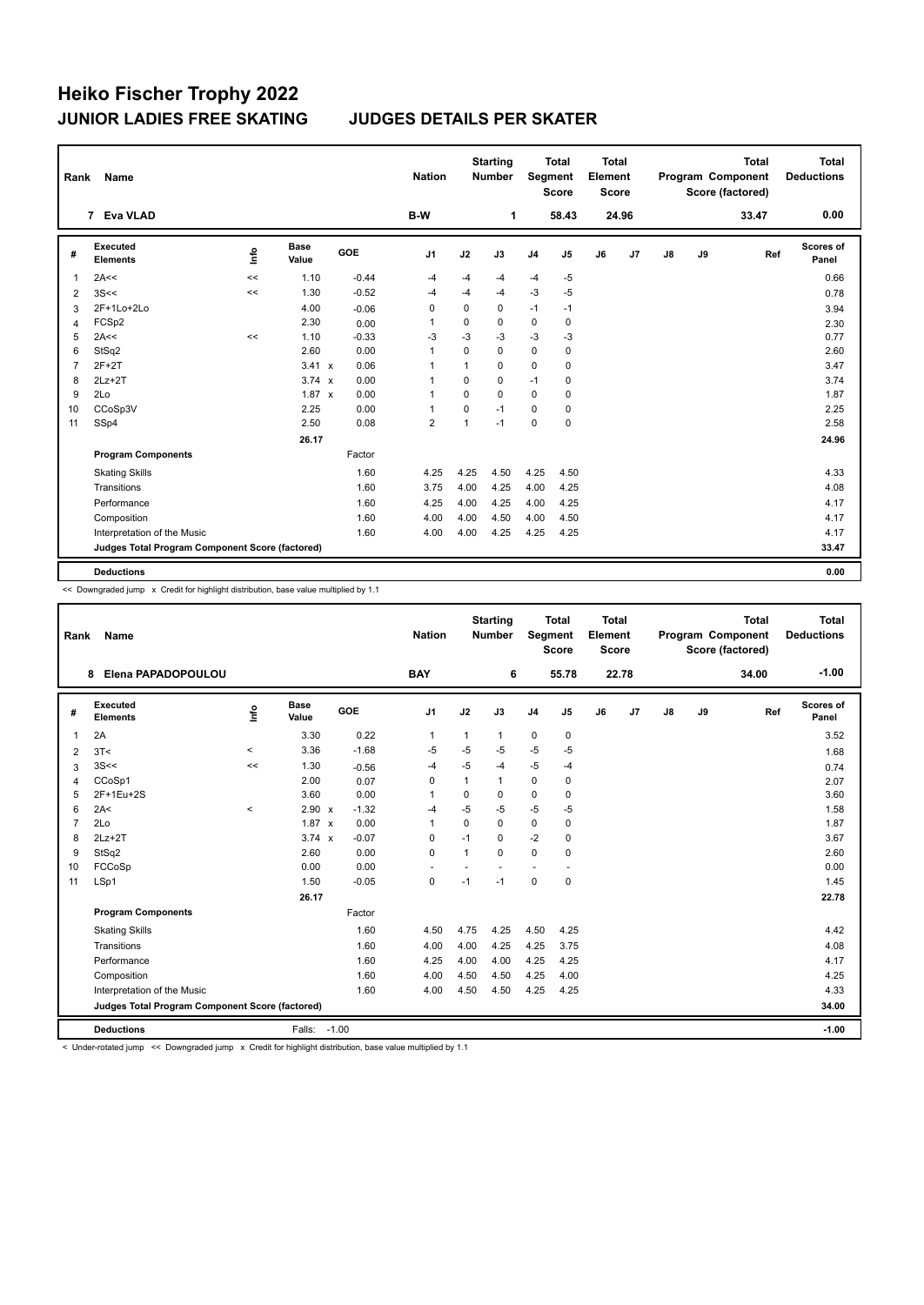| Rank           | Name                                            |      |                      |         | <b>Nation</b>  |                | <b>Starting</b><br><b>Number</b> | <b>Total</b><br>Segment<br><b>Score</b> |                | <b>Total</b><br>Element<br><b>Score</b><br>24.96 |    |               |    | <b>Total</b><br>Program Component<br>Score (factored) | <b>Total</b><br><b>Deductions</b> |
|----------------|-------------------------------------------------|------|----------------------|---------|----------------|----------------|----------------------------------|-----------------------------------------|----------------|--------------------------------------------------|----|---------------|----|-------------------------------------------------------|-----------------------------------|
|                | 7 Eva VLAD                                      |      |                      |         | B-W            |                | $\mathbf{1}$                     |                                         | 58.43          |                                                  |    |               |    | 33.47                                                 | 0.00                              |
| #              | <b>Executed</b><br><b>Elements</b>              | lnfo | <b>Base</b><br>Value | GOE     | J <sub>1</sub> | J2             | J3                               | J <sub>4</sub>                          | J <sub>5</sub> | J6                                               | J7 | $\mathsf{J}8$ | J9 | Ref                                                   | Scores of<br>Panel                |
| 1              | 2A<<                                            | <<   | 1.10                 | $-0.44$ | $-4$           | -4             | -4                               | $-4$                                    | -5             |                                                  |    |               |    |                                                       | 0.66                              |
| 2              | 3S<<                                            | <<   | 1.30                 | $-0.52$ | $-4$           | $-4$           | $-4$                             | $-3$                                    | $-5$           |                                                  |    |               |    |                                                       | 0.78                              |
| 3              | 2F+1Lo+2Lo                                      |      | 4.00                 | $-0.06$ | 0              | 0              | 0                                | $-1$                                    | $-1$           |                                                  |    |               |    |                                                       | 3.94                              |
| $\overline{4}$ | FCSp2                                           |      | 2.30                 | 0.00    | $\overline{1}$ | 0              | 0                                | 0                                       | 0              |                                                  |    |               |    |                                                       | 2.30                              |
| 5              | 2A<<                                            | <<   | 1.10                 | $-0.33$ | $-3$           | $-3$           | $-3$                             | $-3$                                    | $-3$           |                                                  |    |               |    |                                                       | 0.77                              |
| 6              | StSq2                                           |      | 2.60                 | 0.00    | $\overline{1}$ | $\Omega$       | 0                                | 0                                       | 0              |                                                  |    |               |    |                                                       | 2.60                              |
| $\overline{7}$ | $2F+2T$                                         |      | $3.41 \times$        | 0.06    | $\overline{1}$ | $\mathbf{1}$   | $\Omega$                         | 0                                       | 0              |                                                  |    |               |    |                                                       | 3.47                              |
| 8              | $2Lz+2T$                                        |      | $3.74 \times$        | 0.00    | -1             | $\Omega$       | $\mathbf 0$                      | $-1$                                    | $\mathbf 0$    |                                                  |    |               |    |                                                       | 3.74                              |
| 9              | 2Lo                                             |      | $1.87 \times$        | 0.00    | $\overline{1}$ | $\Omega$       | $\Omega$                         | 0                                       | 0              |                                                  |    |               |    |                                                       | 1.87                              |
| 10             | CCoSp3V                                         |      | 2.25                 | 0.00    | $\overline{1}$ | $\Omega$       | $-1$                             | $\Omega$                                | 0              |                                                  |    |               |    |                                                       | 2.25                              |
| 11             | SSp4                                            |      | 2.50                 | 0.08    | $\overline{2}$ | $\overline{1}$ | $-1$                             | 0                                       | $\pmb{0}$      |                                                  |    |               |    |                                                       | 2.58                              |
|                |                                                 |      | 26.17                |         |                |                |                                  |                                         |                |                                                  |    |               |    |                                                       | 24.96                             |
|                | <b>Program Components</b>                       |      |                      | Factor  |                |                |                                  |                                         |                |                                                  |    |               |    |                                                       |                                   |
|                | <b>Skating Skills</b>                           |      |                      | 1.60    | 4.25           | 4.25           | 4.50                             | 4.25                                    | 4.50           |                                                  |    |               |    |                                                       | 4.33                              |
|                | Transitions                                     |      |                      | 1.60    | 3.75           | 4.00           | 4.25                             | 4.00                                    | 4.25           |                                                  |    |               |    |                                                       | 4.08                              |
|                | Performance                                     |      |                      | 1.60    | 4.25           | 4.00           | 4.25                             | 4.00                                    | 4.25           |                                                  |    |               |    |                                                       | 4.17                              |
|                | Composition                                     |      |                      | 1.60    | 4.00           | 4.00           | 4.50                             | 4.00                                    | 4.50           |                                                  |    |               |    |                                                       | 4.17                              |
|                | Interpretation of the Music                     |      |                      | 1.60    | 4.00           | 4.00           | 4.25                             | 4.25                                    | 4.25           |                                                  |    |               |    |                                                       | 4.17                              |
|                | Judges Total Program Component Score (factored) |      |                      |         |                |                |                                  |                                         |                |                                                  |    |               |    |                                                       | 33.47                             |
|                | <b>Deductions</b>                               |      |                      |         |                |                |                                  |                                         |                |                                                  |    |               |    |                                                       | 0.00                              |

<< Downgraded jump x Credit for highlight distribution, base value multiplied by 1.1

| Rank           | <b>Name</b>                                     |         |                      |            | <b>Nation</b>  | <b>Starting</b><br><b>Total</b><br><b>Number</b><br>Segment<br><b>Score</b> |              |                | Total<br>Element<br><b>Score</b><br>22.78 |    |    |    | <b>Total</b><br>Program Component<br>Score (factored) | Total<br><b>Deductions</b> |                           |
|----------------|-------------------------------------------------|---------|----------------------|------------|----------------|-----------------------------------------------------------------------------|--------------|----------------|-------------------------------------------|----|----|----|-------------------------------------------------------|----------------------------|---------------------------|
|                | Elena PAPADOPOULOU<br>8                         |         |                      |            | <b>BAY</b>     |                                                                             | 6            |                | 55.78                                     |    |    |    |                                                       | 34.00                      | $-1.00$                   |
| #              | Executed<br><b>Elements</b>                     | info    | <b>Base</b><br>Value | <b>GOE</b> | J <sub>1</sub> | J2                                                                          | J3           | J <sub>4</sub> | J5                                        | J6 | J7 | J8 | J9                                                    | Ref                        | <b>Scores of</b><br>Panel |
| $\overline{1}$ | 2A                                              |         | 3.30                 | 0.22       | 1              | 1                                                                           | $\mathbf{1}$ | 0              | 0                                         |    |    |    |                                                       |                            | 3.52                      |
| 2              | 3T<                                             | $\,<\,$ | 3.36                 | $-1.68$    | $-5$           | $-5$                                                                        | $-5$         | $-5$           | $-5$                                      |    |    |    |                                                       |                            | 1.68                      |
| 3              | 3S<<                                            | <<      | 1.30                 | $-0.56$    | -4             | $-5$                                                                        | $-4$         | $-5$           | $-4$                                      |    |    |    |                                                       |                            | 0.74                      |
| $\overline{4}$ | CCoSp1                                          |         | 2.00                 | 0.07       | $\mathbf 0$    | $\overline{1}$                                                              | $\mathbf{1}$ | $\mathbf 0$    | 0                                         |    |    |    |                                                       |                            | 2.07                      |
| 5              | 2F+1Eu+2S                                       |         | 3.60                 | 0.00       | 1              | $\Omega$                                                                    | $\Omega$     | $\Omega$       | $\mathbf 0$                               |    |    |    |                                                       |                            | 3.60                      |
| 6              | 2A<                                             | $\,<$   | $2.90 \times$        | $-1.32$    | $-4$           | $-5$                                                                        | $-5$         | $-5$           | $-5$                                      |    |    |    |                                                       |                            | 1.58                      |
| $\overline{7}$ | 2Lo                                             |         | $1.87 \times$        | 0.00       | $\mathbf{1}$   | $\Omega$                                                                    | $\Omega$     | $\pmb{0}$      | 0                                         |    |    |    |                                                       |                            | 1.87                      |
| 8              | $2Lz+2T$                                        |         | $3.74 \times$        | $-0.07$    | $\Omega$       | $-1$                                                                        | $\Omega$     | $-2$           | $\mathbf 0$                               |    |    |    |                                                       |                            | 3.67                      |
| 9              | StSq2                                           |         | 2.60                 | 0.00       | $\Omega$       | $\overline{1}$                                                              | $\Omega$     | $\Omega$       | 0                                         |    |    |    |                                                       |                            | 2.60                      |
| 10             | FCCoSp                                          |         | 0.00                 | 0.00       | ٠              |                                                                             |              | ٠              |                                           |    |    |    |                                                       |                            | 0.00                      |
| 11             | LSp1                                            |         | 1.50                 | $-0.05$    | $\mathbf 0$    | $-1$                                                                        | $-1$         | $\mathbf 0$    | $\mathbf 0$                               |    |    |    |                                                       |                            | 1.45                      |
|                |                                                 |         | 26.17                |            |                |                                                                             |              |                |                                           |    |    |    |                                                       |                            | 22.78                     |
|                | <b>Program Components</b>                       |         |                      | Factor     |                |                                                                             |              |                |                                           |    |    |    |                                                       |                            |                           |
|                | <b>Skating Skills</b>                           |         |                      | 1.60       | 4.50           | 4.75                                                                        | 4.25         | 4.50           | 4.25                                      |    |    |    |                                                       |                            | 4.42                      |
|                | Transitions                                     |         |                      | 1.60       | 4.00           | 4.00                                                                        | 4.25         | 4.25           | 3.75                                      |    |    |    |                                                       |                            | 4.08                      |
|                | Performance                                     |         |                      | 1.60       | 4.25           | 4.00                                                                        | 4.00         | 4.25           | 4.25                                      |    |    |    |                                                       |                            | 4.17                      |
|                | Composition                                     |         |                      | 1.60       | 4.00           | 4.50                                                                        | 4.50         | 4.25           | 4.00                                      |    |    |    |                                                       |                            | 4.25                      |
|                | Interpretation of the Music                     |         |                      | 1.60       | 4.00           | 4.50                                                                        | 4.50         | 4.25           | 4.25                                      |    |    |    |                                                       |                            | 4.33                      |
|                | Judges Total Program Component Score (factored) |         |                      |            |                |                                                                             |              |                |                                           |    |    |    |                                                       |                            | 34.00                     |
|                | <b>Deductions</b>                               |         | Falls: -1.00         |            |                |                                                                             |              |                |                                           |    |    |    |                                                       |                            | $-1.00$                   |

< Under-rotated jump << Downgraded jump x Credit for highlight distribution, base value multiplied by 1.1